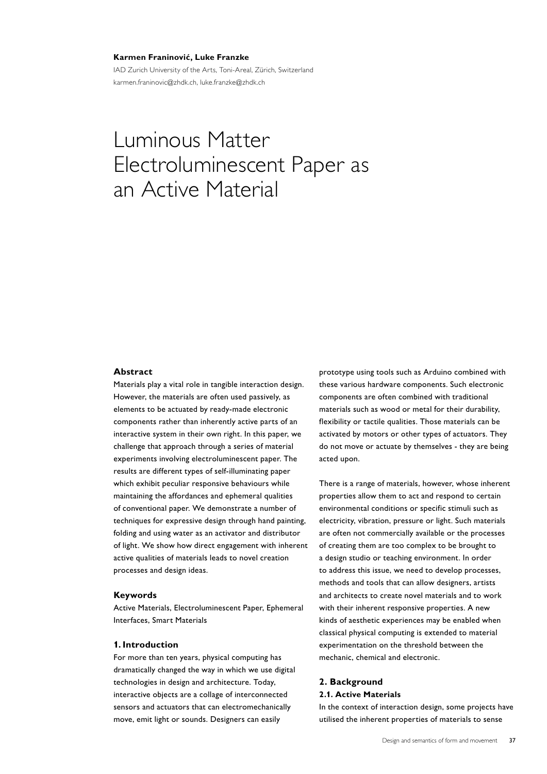#### **Karmen Franinović, Luke Franzke**

IAD Zurich University of the Arts, Toni-Areal, Zürich, Switzerland karmen.franinovic@zhdk.ch, luke.franzke@zhdk.ch

# Luminous Matter Electroluminescent Paper as an Active Material

# **Abstract**

Materials play a vital role in tangible interaction design. However, the materials are often used passively, as elements to be actuated by ready-made electronic components rather than inherently active parts of an interactive system in their own right. In this paper, we challenge that approach through a series of material experiments involving electroluminescent paper. The results are different types of self-illuminating paper which exhibit peculiar responsive behaviours while maintaining the affordances and ephemeral qualities of conventional paper. We demonstrate a number of techniques for expressive design through hand painting, folding and using water as an activator and distributor of light. We show how direct engagement with inherent active qualities of materials leads to novel creation processes and design ideas.

#### **Keywords**

Active Materials, Electroluminescent Paper, Ephemeral Interfaces, Smart Materials

## **1. Introduction**

For more than ten years, physical computing has dramatically changed the way in which we use digital technologies in design and architecture. Today, interactive objects are a collage of interconnected sensors and actuators that can electromechanically move, emit light or sounds. Designers can easily

prototype using tools such as Arduino combined with these various hardware components. Such electronic components are often combined with traditional materials such as wood or metal for their durability, flexibility or tactile qualities. Those materials can be activated by motors or other types of actuators. They do not move or actuate by themselves - they are being acted upon.

There is a range of materials, however, whose inherent properties allow them to act and respond to certain environmental conditions or specific stimuli such as electricity, vibration, pressure or light. Such materials are often not commercially available or the processes of creating them are too complex to be brought to a design studio or teaching environment. In order to address this issue, we need to develop processes, methods and tools that can allow designers, artists and architects to create novel materials and to work with their inherent responsive properties. A new kinds of aesthetic experiences may be enabled when classical physical computing is extended to material experimentation on the threshold between the mechanic, chemical and electronic.

# **2. Background 2.1. Active Materials**

In the context of interaction design, some projects have utilised the inherent properties of materials to sense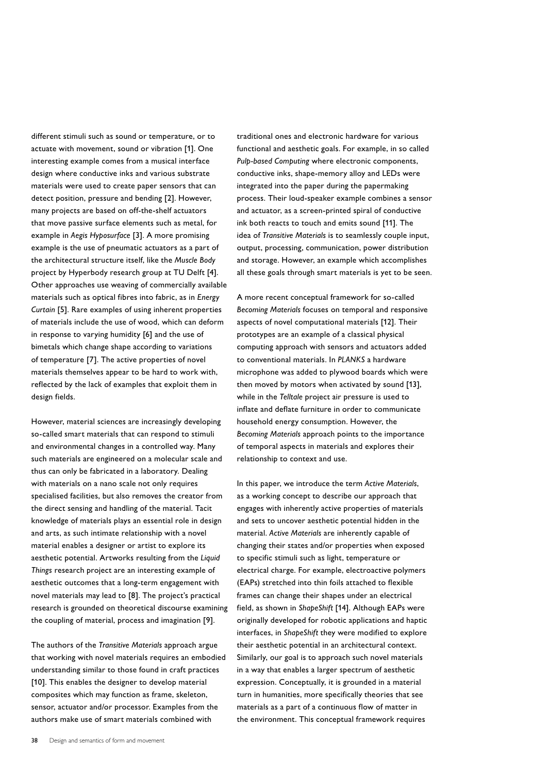different stimuli such as sound or temperature, or to actuate with movement, sound or vibration [1]. One interesting example comes from a musical interface design where conductive inks and various substrate materials were used to create paper sensors that can detect position, pressure and bending [2]. However, many projects are based on off-the-shelf actuators that move passive surface elements such as metal, for example in *Aegis Hyposurface* [3]. A more promising example is the use of pneumatic actuators as a part of the architectural structure itself, like the Muscle Body project by Hyperbody research group at TU Delft [4]. Other approaches use weaving of commercially available materials such as optical fibres into fabric, as in *Energy Curtain* [5]. Rare examples of using inherent properties of materials include the use of wood, which can deform in response to varying humidity [6] and the use of bimetals which change shape according to variations of temperature [7]. The active properties of novel materials themselves appear to be hard to work with, reflected by the lack of examples that exploit them in design fields.

However, material sciences are increasingly developing so-called smart materials that can respond to stimuli and environmental changes in a controlled way. Many such materials are engineered on a molecular scale and thus can only be fabricated in a laboratory. Dealing with materials on a nano scale not only requires specialised facilities, but also removes the creator from the direct sensing and handling of the material. Tacit knowledge of materials plays an essential role in design and arts, as such intimate relationship with a novel material enables a designer or artist to explore its aesthetic potential. Artworks resulting from the Liquid *Things* research project are an interesting example of aesthetic outcomes that a long-term engagement with novel materials may lead to [8]. The project's practical research is grounded on theoretical discourse examining the coupling of material, process and imagination [9].

The authors of the *Transitive Materials* approach argue that working with novel materials requires an embodied understanding similar to those found in craft practices [10]. This enables the designer to develop material composites which may function as frame, skeleton, sensor, actuator and/or processor. Examples from the authors make use of smart materials combined with

traditional ones and electronic hardware for various functional and aesthetic goals. For example, in so called *Pulp-based Computing* where electronic components, conductive inks, shape-memory alloy and LEDs were integrated into the paper during the papermaking process. Their loud-speaker example combines a sensor and actuator, as a screen-printed spiral of conductive ink both reacts to touch and emits sound [11]. The idea of *Transitive Materials* is to seamlessly couple input, output, processing, communication, power distribution and storage. However, an example which accomplishes all these goals through smart materials is yet to be seen.

A more recent conceptual framework for so-called *Becoming Materials* focuses on temporal and responsive aspects of novel computational materials [12]. Their prototypes are an example of a classical physical computing approach with sensors and actuators added to conventional materials. In *PLANKS* a hardware microphone was added to plywood boards which were then moved by motors when activated by sound [13], while in the *Telltale* project air pressure is used to inflate and deflate furniture in order to communicate household energy consumption. However, the *Becoming Materials* approach points to the importance of temporal aspects in materials and explores their relationship to context and use.

In this paper, we introduce the term *Active Materials*, as a working concept to describe our approach that engages with inherently active properties of materials and sets to uncover aesthetic potential hidden in the material. *Active Materials* are inherently capable of changing their states and/or properties when exposed to specific stimuli such as light, temperature or electrical charge. For example, electroactive polymers (EAPs) stretched into thin foils attached to flexible frames can change their shapes under an electrical field, as shown in *ShapeShift* [14]. Although EAPs were originally developed for robotic applications and haptic interfaces, in *ShapeShift* they were modified to explore their aesthetic potential in an architectural context. Similarly, our goal is to approach such novel materials in a way that enables a larger spectrum of aesthetic expression. Conceptually, it is grounded in a material turn in humanities, more specifically theories that see materials as a part of a continuous flow of matter in the environment. This conceptual framework requires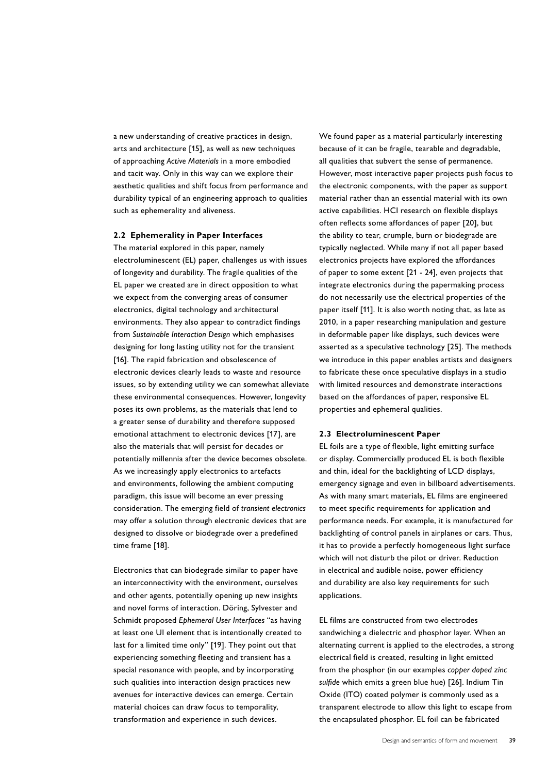a new understanding of creative practices in design, arts and architecture [15], as well as new techniques of approaching *Active Materials* in a more embodied and tacit way. Only in this way can we explore their aesthetic qualities and shift focus from performance and durability typical of an engineering approach to qualities such as ephemerality and aliveness.

### **2.2 Ephemerality in Paper Interfaces**

The material explored in this paper, namely electroluminescent (EL) paper, challenges us with issues of longevity and durability. The fragile qualities of the EL paper we created are in direct opposition to what we expect from the converging areas of consumer electronics, digital technology and architectural environments. They also appear to contradict findings from *Sustainable Interaction Design* which emphasises designing for long lasting utility not for the transient [16]. The rapid fabrication and obsolescence of electronic devices clearly leads to waste and resource issues, so by extending utility we can somewhat alleviate these environmental consequences. However, longevity poses its own problems, as the materials that lend to a greater sense of durability and therefore supposed emotional attachment to electronic devices [17], are also the materials that will persist for decades or potentially millennia after the device becomes obsolete. As we increasingly apply electronics to artefacts and environments, following the ambient computing paradigm, this issue will become an ever pressing consideration. The emerging field of *transient electronics* may offer a solution through electronic devices that are designed to dissolve or biodegrade over a predefined time frame [18].

Electronics that can biodegrade similar to paper have an interconnectivity with the environment, ourselves and other agents, potentially opening up new insights and novel forms of interaction. Döring, Sylvester and Schmidt proposed *Ephemeral User Interfaces* "as having at least one UI element that is intentionally created to last for a limited time only" [19]. They point out that experiencing something fleeting and transient has a special resonance with people, and by incorporating such qualities into interaction design practices new avenues for interactive devices can emerge. Certain material choices can draw focus to temporality, transformation and experience in such devices.

We found paper as a material particularly interesting because of it can be fragile, tearable and degradable, all qualities that subvert the sense of permanence. However, most interactive paper projects push focus to the electronic components, with the paper as support material rather than an essential material with its own active capabilities. HCI research on flexible displays often reflects some affordances of paper [20], but the ability to tear, crumple, burn or biodegrade are typically neglected. While many if not all paper based electronics projects have explored the affordances of paper to some extent [21 - 24], even projects that integrate electronics during the papermaking process do not necessarily use the electrical properties of the paper itself [11]. It is also worth noting that, as late as 2010, in a paper researching manipulation and gesture in deformable paper like displays, such devices were asserted as a speculative technology [25]. The methods we introduce in this paper enables artists and designers to fabricate these once speculative displays in a studio with limited resources and demonstrate interactions based on the affordances of paper, responsive EL properties and ephemeral qualities.

#### **2.3 Electroluminescent Paper**

EL foils are a type of flexible, light emitting surface or display. Commercially produced EL is both flexible and thin, ideal for the backlighting of LCD displays, emergency signage and even in billboard advertisements. As with many smart materials, EL films are engineered to meet specific requirements for application and performance needs. For example, it is manufactured for backlighting of control panels in airplanes or cars. Thus, it has to provide a perfectly homogeneous light surface which will not disturb the pilot or driver. Reduction in electrical and audible noise, power efficiency and durability are also key requirements for such applications.

EL films are constructed from two electrodes sandwiching a dielectric and phosphor layer. When an alternating current is applied to the electrodes, a strong electrical field is created, resulting in light emitted from the phosphor (in our examples copper doped zinc sulfide which emits a green blue hue) [26]. Indium Tin Oxide (ITO) coated polymer is commonly used as a transparent electrode to allow this light to escape from the encapsulated phosphor. EL foil can be fabricated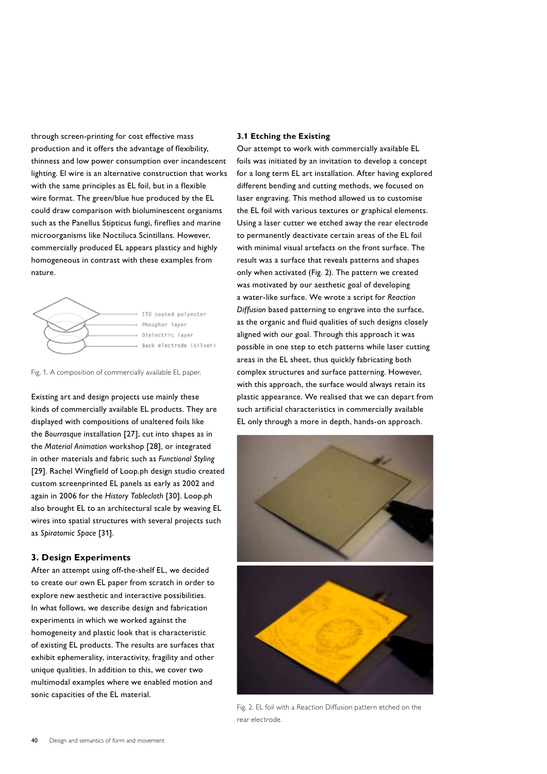through screen-printing for cost effective mass production and it offers the advantage of flexibility, thinness and low power consumption over incandescent lighting. El wire is an alternative construction that works with the same principles as EL foil, but in a flexible wire format. The green/blue hue produced by the EL could draw comparison with bioluminescent organisms such as the Panellus Stipticus fungi, fireflies and marine microorganisms like Noctiluca Scintillans. However, commercially produced EL appears plasticy and highly homogeneous in contrast with these examples from nature.





Existing art and design projects use mainly these kinds of commercially available EL products. They are displayed with compositions of unaltered foils like the *Bourrasque* installation [27], cut into shapes as in the *Material Animation* workshop [28], or integrated in other materials and fabric such as *Functional Styling* [29]. Rachel Wingfield of Loop.ph design studio created custom screenprinted EL panels as early as 2002 and again in 2006 for the *History Tablecloth* [30]. Loop.ph also brought EL to an architectural scale by weaving EL wires into spatial structures with several projects such as *Spiratomic Space* [31].

# **3. Design Experiments**

After an attempt using off-the-shelf EL, we decided to create our own EL paper from scratch in order to explore new aesthetic and interactive possibilities. In what follows, we describe design and fabrication experiments in which we worked against the homogeneity and plastic look that is characteristic of existing EL products. The results are surfaces that exhibit ephemerality, interactivity, fragility and other unique qualities. In addition to this, we cover two multimodal examples where we enabled motion and sonic capacities of the EL material.

## **3.1 Etching the Existing**

Our attempt to work with commercially available EL foils was initiated by an invitation to develop a concept for a long term EL art installation. After having explored different bending and cutting methods, we focused on laser engraving. This method allowed us to customise the EL foil with various textures or graphical elements. Using a laser cutter we etched away the rear electrode to permanently deactivate certain areas of the EL foil with minimal visual artefacts on the front surface. The result was a surface that reveals patterns and shapes only when activated (Fig. 2). The pattern we created was motivated by our aesthetic goal of developing a water-like surface. We wrote a script for Reaction *Diffusion* based patterning to engrave into the surface, as the organic and fluid qualities of such designs closely aligned with our goal. Through this approach it was possible in one step to etch patterns while laser cutting areas in the EL sheet, thus quickly fabricating both complex structures and surface patterning. However, with this approach, the surface would always retain its plastic appearance. We realised that we can depart from such artificial characteristics in commercially available EL only through a more in depth, hands-on approach.



Fig. 2. EL foil with a Reaction Diffusion pattern etched on the rear electrode.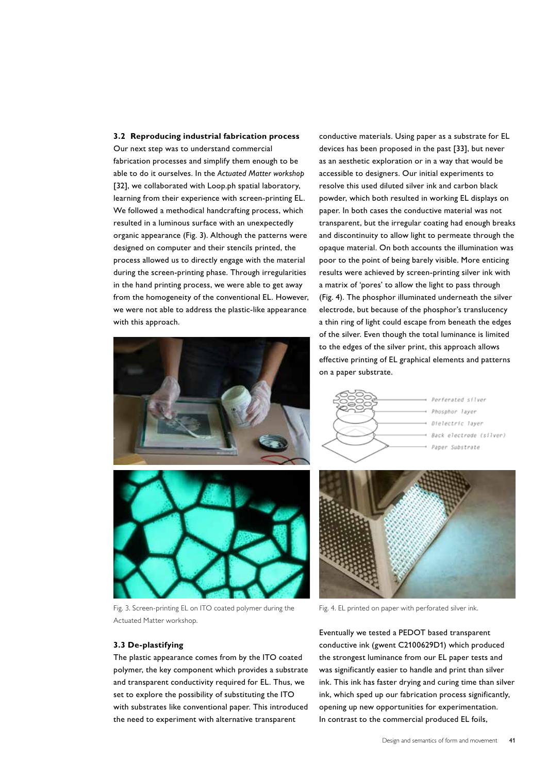Our next step was to understand commercial fabrication processes and simplify them enough to be able to do it ourselves. In the *Actuated Matter workshop* [32], we collaborated with Loop.ph spatial laboratory, learning from their experience with screen-printing EL. We followed a methodical handcrafting process, which resulted in a luminous surface with an unexpectedly organic appearance (Fig. 3). Although the patterns were designed on computer and their stencils printed, the process allowed us to directly engage with the material during the screen-printing phase. Through irregularities in the hand printing process, we were able to get away from the homogeneity of the conventional EL. However, we were not able to address the plastic-like appearance with this approach.





Fig. 3. Screen-printing EL on ITO coated polymer during the Actuated Matter workshop.

## **3.3 De-plastifying**

The plastic appearance comes from by the ITO coated polymer, the key component which provides a substrate and transparent conductivity required for EL. Thus, we set to explore the possibility of substituting the ITO with substrates like conventional paper. This introduced the need to experiment with alternative transparent

conductive materials. Using paper as a substrate for EL devices has been proposed in the past [33], but never as an aesthetic exploration or in a way that would be accessible to designers. Our initial experiments to resolve this used diluted silver ink and carbon black powder, which both resulted in working EL displays on paper. In both cases the conductive material was not transparent, but the irregular coating had enough breaks and discontinuity to allow light to permeate through the opaque material. On both accounts the illumination was poor to the point of being barely visible. More enticing results were achieved by screen-printing silver ink with a matrix of 'pores' to allow the light to pass through (Fig. 4). The phosphor illuminated underneath the silver electrode, but because of the phosphor's translucency a thin ring of light could escape from beneath the edges of the silver. Even though the total luminance is limited to the edges of the silver print, this approach allows effective printing of EL graphical elements and patterns on a paper substrate.



Perferated silver Phosphor laver Dielectric layer Back electrode (silver) Paper Substrate



Fig. 4. EL printed on paper with perforated silver ink.

Eventually we tested a PEDOT based transparent conductive ink (gwent C2100629D1) which produced the strongest luminance from our EL paper tests and was significantly easier to handle and print than silver ink. This ink has faster drying and curing time than silver ink, which sped up our fabrication process significantly, opening up new opportunities for experimentation. In contrast to the commercial produced EL foils,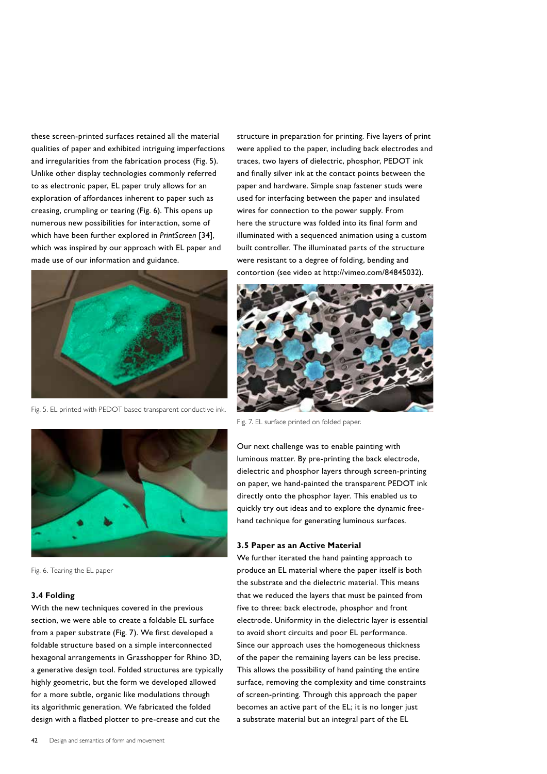these screen-printed surfaces retained all the material qualities of paper and exhibited intriguing imperfections and irregularities from the fabrication process (Fig. 5). Unlike other display technologies commonly referred to as electronic paper, EL paper truly allows for an exploration of affordances inherent to paper such as creasing, crumpling or tearing (Fig. 6). This opens up numerous new possibilities for interaction, some of which have been further explored in *PrintScreen* [34], which was inspired by our approach with EL paper and made use of our information and guidance.



Fig. 5. EL printed with PEDOT based transparent conductive ink.





Fig. 7. EL surface printed on folded paper.

Our next challenge was to enable painting with luminous matter. By pre-printing the back electrode, dielectric and phosphor layers through screen-printing on paper, we hand-painted the transparent PEDOT ink directly onto the phosphor layer. This enabled us to quickly try out ideas and to explore the dynamic freehand technique for generating luminous surfaces.

#### **3.5 Paper as an Active Material**

We further iterated the hand painting approach to produce an EL material where the paper itself is both the substrate and the dielectric material. This means that we reduced the layers that must be painted from five to three: back electrode, phosphor and front electrode. Uniformity in the dielectric layer is essential to avoid short circuits and poor EL performance. Since our approach uses the homogeneous thickness of the paper the remaining layers can be less precise. This allows the possibility of hand painting the entire surface, removing the complexity and time constraints of screen-printing. Through this approach the paper becomes an active part of the EL; it is no longer just a substrate material but an integral part of the EL

Fig. 6. Tearing the EL paper

#### **3.4 Folding**

With the new techniques covered in the previous section, we were able to create a foldable EL surface from a paper substrate (Fig. 7). We first developed a foldable structure based on a simple interconnected hexagonal arrangements in Grasshopper for Rhino 3D, a generative design tool. Folded structures are typically highly geometric, but the form we developed allowed for a more subtle, organic like modulations through its algorithmic generation. We fabricated the folded design with a flatbed plotter to pre-crease and cut the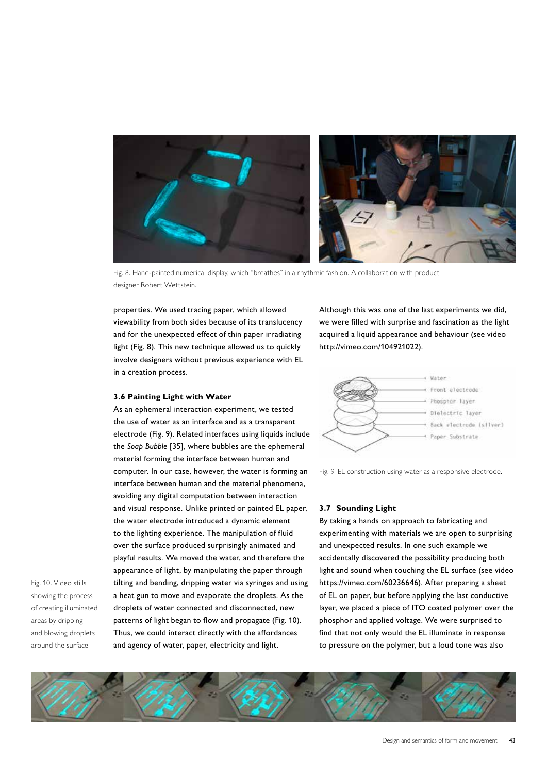

Fig. 8. Hand-painted numerical display, which "breathes" in a rhythmic fashion. A collaboration with product designer Robert Wettstein.

properties. We used tracing paper, which allowed viewability from both sides because of its translucency and for the unexpected effect of thin paper irradiating light (Fig. 8). This new technique allowed us to quickly involve designers without previous experience with EL in a creation process.

#### **3.6 Painting Light with Water**

As an ephemeral interaction experiment, we tested the use of water as an interface and as a transparent electrode (Fig. 9). Related interfaces using liquids include the *Soap Bubble* [35], where bubbles are the ephemeral material forming the interface between human and computer. In our case, however, the water is forming an interface between human and the material phenomena, avoiding any digital computation between interaction and visual response. Unlike printed or painted EL paper, the water electrode introduced a dynamic element to the lighting experience. The manipulation of fluid over the surface produced surprisingly animated and playful results. We moved the water, and therefore the appearance of light, by manipulating the paper through tilting and bending, dripping water via syringes and using a heat gun to move and evaporate the droplets. As the droplets of water connected and disconnected, new patterns of light began to flow and propagate (Fig. 10). Thus, we could interact directly with the affordances and agency of water, paper, electricity and light.

Although this was one of the last experiments we did, we were filled with surprise and fascination as the light acquired a liquid appearance and behaviour (see video http://vimeo.com/104921022).



Fig. 9. EL construction using water as a responsive electrode.

## **3.7 Sounding Light**

By taking a hands on approach to fabricating and experimenting with materials we are open to surprising and unexpected results. In one such example we accidentally discovered the possibility producing both light and sound when touching the EL surface (see video https://vimeo.com/60236646). After preparing a sheet of EL on paper, but before applying the last conductive layer, we placed a piece of ITO coated polymer over the phosphor and applied voltage. We were surprised to find that not only would the EL illuminate in response to pressure on the polymer, but a loud tone was also

Fig. 10. Video stills showing the process of creating illuminated areas by dripping and blowing droplets around the surface.

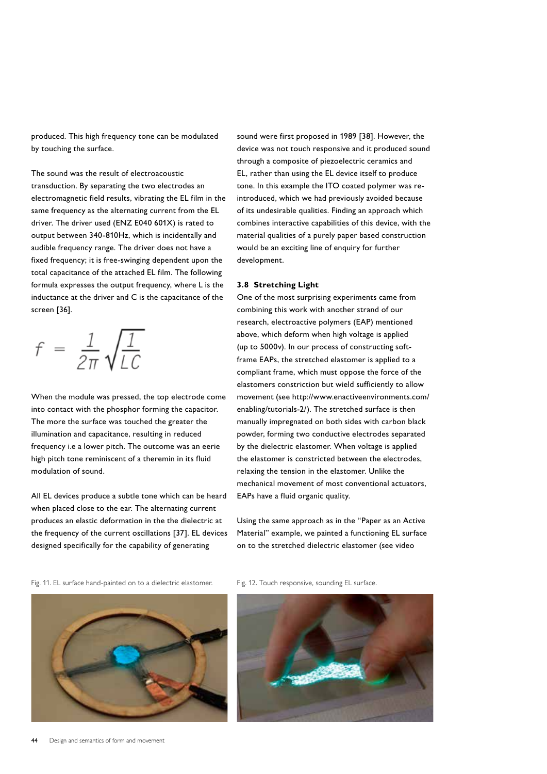produced. This high frequency tone can be modulated by touching the surface.

The sound was the result of electroacoustic transduction. By separating the two electrodes an electromagnetic field results, vibrating the EL film in the same frequency as the alternating current from the EL driver. The driver used (ENZ E040 601X) is rated to output between 340-810Hz, which is incidentally and audible frequency range. The driver does not have a fixed frequency; it is free-swinging dependent upon the total capacitance of the attached EL film. The following formula expresses the output frequency, where L is the inductance at the driver and C is the capacitance of the screen [36].

$$
f = \frac{1}{2\pi} \sqrt{\frac{1}{LC}}
$$

When the module was pressed, the top electrode come into contact with the phosphor forming the capacitor. The more the surface was touched the greater the illumination and capacitance, resulting in reduced frequency i.e a lower pitch. The outcome was an eerie high pitch tone reminiscent of a theremin in its fluid modulation of sound.

All EL devices produce a subtle tone which can be heard when placed close to the ear. The alternating current produces an elastic deformation in the the dielectric at the frequency of the current oscillations [37]. EL devices designed specifically for the capability of generating

sound were first proposed in 1989 [38]. However, the device was not touch responsive and it produced sound through a composite of piezoelectric ceramics and EL, rather than using the EL device itself to produce tone. In this example the ITO coated polymer was reintroduced, which we had previously avoided because of its undesirable qualities. Finding an approach which combines interactive capabilities of this device, with the material qualities of a purely paper based construction would be an exciting line of enquiry for further development.

### **3.8 Stretching Light**

One of the most surprising experiments came from combining this work with another strand of our research, electroactive polymers (EAP) mentioned above, which deform when high voltage is applied (up to 5000v). In our process of constructing softframe EAPs, the stretched elastomer is applied to a compliant frame, which must oppose the force of the elastomers constriction but wield sufficiently to allow movement (see http://www.enactiveenvironments.com/ enabling/tutorials-2/). The stretched surface is then manually impregnated on both sides with carbon black powder, forming two conductive electrodes separated by the dielectric elastomer. When voltage is applied the elastomer is constricted between the electrodes, relaxing the tension in the elastomer. Unlike the mechanical movement of most conventional actuators, EAPs have a fluid organic quality.

Using the same approach as in the "Paper as an Active Material" example, we painted a functioning EL surface on to the stretched dielectric elastomer (see video

Fig. 11. EL surface hand-painted on to a dielectric elastomer. Fig. 12. Touch responsive, sounding EL surface.







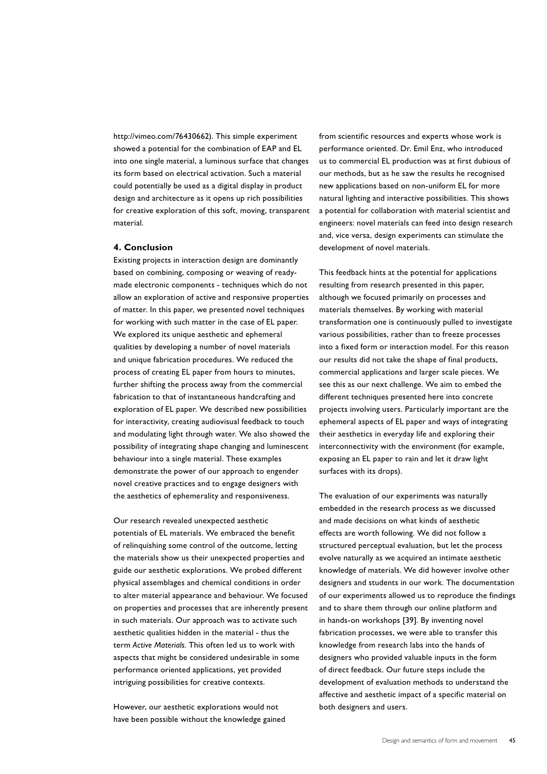http://vimeo.com/76430662). This simple experiment showed a potential for the combination of EAP and EL into one single material, a luminous surface that changes its form based on electrical activation. Such a material could potentially be used as a digital display in product design and architecture as it opens up rich possibilities for creative exploration of this soft, moving, transparent material.

## **4. Conclusion**

Existing projects in interaction design are dominantly based on combining, composing or weaving of readymade electronic components - techniques which do not allow an exploration of active and responsive properties of matter. In this paper, we presented novel techniques for working with such matter in the case of EL paper. We explored its unique aesthetic and ephemeral qualities by developing a number of novel materials and unique fabrication procedures. We reduced the process of creating EL paper from hours to minutes, further shifting the process away from the commercial fabrication to that of instantaneous handcrafting and exploration of EL paper. We described new possibilities for interactivity, creating audiovisual feedback to touch and modulating light through water. We also showed the possibility of integrating shape changing and luminescent behaviour into a single material. These examples demonstrate the power of our approach to engender novel creative practices and to engage designers with the aesthetics of ephemerality and responsiveness.

Our research revealed unexpected aesthetic potentials of EL materials. We embraced the benefit of relinquishing some control of the outcome, letting the materials show us their unexpected properties and guide our aesthetic explorations. We probed different physical assemblages and chemical conditions in order to alter material appearance and behaviour. We focused on properties and processes that are inherently present in such materials. Our approach was to activate such aesthetic qualities hidden in the material - thus the term Active Materials. This often led us to work with aspects that might be considered undesirable in some performance oriented applications, yet provided intriguing possibilities for creative contexts.

However, our aesthetic explorations would not have been possible without the knowledge gained from scientific resources and experts whose work is performance oriented. Dr. Emil Enz, who introduced us to commercial EL production was at first dubious of our methods, but as he saw the results he recognised new applications based on non-uniform EL for more natural lighting and interactive possibilities. This shows a potential for collaboration with material scientist and engineers: novel materials can feed into design research and, vice versa, design experiments can stimulate the development of novel materials.

This feedback hints at the potential for applications resulting from research presented in this paper, although we focused primarily on processes and materials themselves. By working with material transformation one is continuously pulled to investigate various possibilities, rather than to freeze processes into a fixed form or interaction model. For this reason our results did not take the shape of final products, commercial applications and larger scale pieces. We see this as our next challenge. We aim to embed the different techniques presented here into concrete projects involving users. Particularly important are the ephemeral aspects of EL paper and ways of integrating their aesthetics in everyday life and exploring their interconnectivity with the environment (for example, exposing an EL paper to rain and let it draw light surfaces with its drops).

The evaluation of our experiments was naturally embedded in the research process as we discussed and made decisions on what kinds of aesthetic effects are worth following. We did not follow a structured perceptual evaluation, but let the process evolve naturally as we acquired an intimate aesthetic knowledge of materials. We did however involve other designers and students in our work. The documentation of our experiments allowed us to reproduce the findings and to share them through our online platform and in hands-on workshops [39]. By inventing novel fabrication processes, we were able to transfer this knowledge from research labs into the hands of designers who provided valuable inputs in the form of direct feedback. Our future steps include the development of evaluation methods to understand the affective and aesthetic impact of a specific material on both designers and users.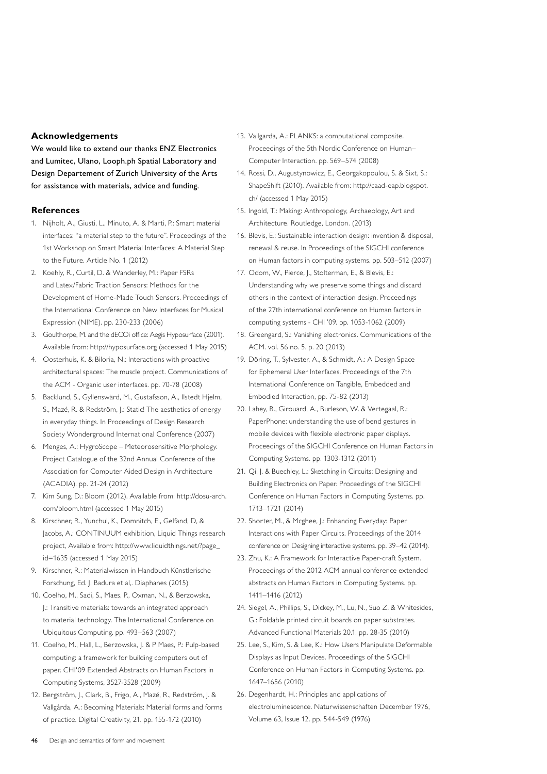# **Acknowledgements**

We would like to extend our thanks ENZ Electronics and Lumitec, Ulano, Looph.ph Spatial Laboratory and Design Departement of Zurich University of the Arts for assistance with materials, advice and funding.

## **References**

- 1. Nijholt, A., Giusti, L., Minuto, A. & Marti, P.: Smart material interfaces: "a material step to the future". Proceedings of the 1st Workshop on Smart Material Interfaces: A Material Step to the Future. Article No. 1 (2012)
- 2. Koehly, R., Curtil, D. & Wanderley, M.: Paper FSRs and Latex/Fabric Traction Sensors: Methods for the Development of Home-Made Touch Sensors. Proceedings of the International Conference on New Interfaces for Musical Expression (NIME). pp. 230-233 (2006)
- 3. Goulthorpe, M. and the dECOi office: Aegis Hyposurface (2001). Available from: http://hyposurface.org (accessed 1 May 2015)
- 4. Oosterhuis, K. & Biloria, N.: Interactions with proactive architectural spaces: The muscle project. Communications of the ACM - Organic user interfaces. pp. 70-78 (2008)
- 5. Backlund, S., Gyllenswärd, M., Gustafsson, A., Ilstedt Hjelm, S., Mazé, R. & Redström, J.: Static! The aesthetics of energy in everyday things. In Proceedings of Design Research Society Wonderground International Conference (2007)
- 6. Menges, A.: HygroScope Meteorosensitive Morphology. Project Catalogue of the 32nd Annual Conference of the Association for Computer Aided Design in Architecture (ACADIA). pp. 21-24 (2012)
- 7. Kim Sung, D.: Bloom (2012). Available from: http://dosu-arch. com/bloom.html (accessed 1 May 2015)
- 8. Kirschner, R., Yunchul, K., Domnitch, E., Gelfand, D, & Jacobs, A.: CONTINUUM exhibition, Liquid Things research project, Available from: http://www.liquidthings.net/?page\_ id=1635 (accessed 1 May 2015)
- 9. Kirschner, R.: Materialwissen in Handbuch Künstlerische Forschung, Ed. J. Badura et al,. Diaphanes (2015)
- 10. Coelho, M., Sadi, S., Maes, P., Oxman, N., & Berzowska, J.: Transitive materials: towards an integrated approach to material technology. The International Conference on Ubiquitous Computing. pp. 493–563 (2007)
- 11. Coelho, M., Hall, L., Berzowska, J. & P Maes, P.: Pulp-based computing: a framework for building computers out of paper. CHI'09 Extended Abstracts on Human Factors in Computing Systems, 3527-3528 (2009)
- 12. Bergström, J., Clark, B., Frigo, A., Mazé, R., Redström, J. & Vallgårda, A.: Becoming Materials: Material forms and forms of practice. Digital Creativity, 21. pp. 155-172 (2010)
- 13. Vallgarda, A.: PLANKS: a computational composite. Proceedings of the 5th Nordic Conference on Human– Computer Interaction. pp. 569–574 (2008)
- 14. Rossi, D., Augustynowicz, E., Georgakopoulou, S. & Sixt, S.: ShapeShift (2010). Available from: http://caad-eap.blogspot. ch/ (accessed 1 May 2015)
- 15. Ingold, T.: Making: Anthropology, Archaeology, Art and Architecture. Routledge, London. (2013)
- 16. Blevis, E.: Sustainable interaction design: invention & disposal, renewal & reuse. In Proceedings of the SIGCHI conference on Human factors in computing systems. pp. 503–512 (2007)
- 17. Odom, W., Pierce, J., Stolterman, E., & Blevis, E.: Understanding why we preserve some things and discard others in the context of interaction design. Proceedings of the 27th international conference on Human factors in computing systems - CHI '09. pp. 1053-1062 (2009)
- 18. Greengard, S.: Vanishing electronics. Communications of the ACM. vol. 56 no. 5. p. 20 (2013)
- 19. Döring, T., Sylvester, A., & Schmidt, A.: A Design Space for Ephemeral User Interfaces. Proceedings of the 7th International Conference on Tangible, Embedded and Embodied Interaction, pp. 75-82 (2013)
- 20. Lahey, B., Girouard, A., Burleson, W. & Vertegaal, R.: PaperPhone: understanding the use of bend gestures in mobile devices with flexible electronic paper displays. Proceedings of the SIGCHI Conference on Human Factors in Computing Systems. pp. 1303-1312 (2011)
- 21. Qi, J. & Buechley, L.: Sketching in Circuits: Designing and Building Electronics on Paper. Proceedings of the SIGCHI Conference on Human Factors in Computing Systems. pp. 1713–1721 (2014)
- 22. Shorter, M., & Mcghee, J.: Enhancing Everyday: Paper Interactions with Paper Circuits. Proceedings of the 2014 conference on Designing interactive systems. pp. 39–42 (2014).
- 23. Zhu, K.: A Framework for Interactive Paper-craft System. Proceedings of the 2012 ACM annual conference extended abstracts on Human Factors in Computing Systems. pp. 1411–1416 (2012)
- 24. Siegel, A., Phillips, S., Dickey, M., Lu, N., Suo Z. & Whitesides, G.: Foldable printed circuit boards on paper substrates. Advanced Functional Materials 20.1. pp. 28-35 (2010)
- 25. Lee, S., Kim, S. & Lee, K.: How Users Manipulate Deformable Displays as Input Devices. Proceedings of the SIGCHI Conference on Human Factors in Computing Systems. pp. 1647–1656 (2010)
- 26. Degenhardt, H.: Principles and applications of electroluminescence. Naturwissenschaften December 1976, Volume 63, Issue 12. pp. 544-549 (1976)